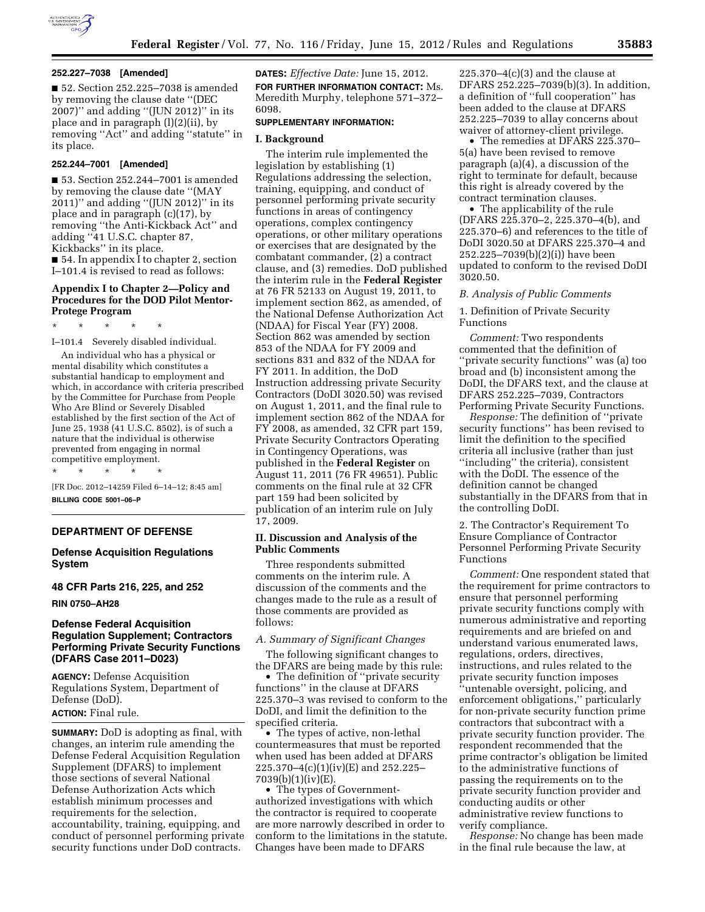

### **252.227–7038 [Amended]**

■ 52. Section 252.225-7038 is amended by removing the clause date ''(DEC 2007)'' and adding ''(JUN 2012)'' in its place and in paragraph (l)(2)(ii), by removing ''Act'' and adding ''statute'' in its place.

## **252.244–7001 [Amended]**

■ 53. Section 252.244–7001 is amended by removing the clause date ''(MAY 2011)'' and adding ''(JUN 2012)'' in its place and in paragraph (c)(17), by removing ''the Anti-Kickback Act'' and adding ''41 U.S.C. chapter 87, Kickbacks'' in its place. ■ 54. In appendix I to chapter 2, section I–101.4 is revised to read as follows:

# **Appendix I to Chapter 2—Policy and Procedures for the DOD Pilot Mentor-Protege Program**

\* \* \* \* \*

I–101.4 Severely disabled individual.

An individual who has a physical or mental disability which constitutes a substantial handicap to employment and which, in accordance with criteria prescribed by the Committee for Purchase from People Who Are Blind or Severely Disabled established by the first section of the Act of June 25, 1938 (41 U.S.C. 8502), is of such a nature that the individual is otherwise prevented from engaging in normal competitive employment.

\* \* \* \* \*

[FR Doc. 2012–14259 Filed 6–14–12; 8:45 am] **BILLING CODE 5001–06–P** 

## **DEPARTMENT OF DEFENSE**

# **Defense Acquisition Regulations System**

# **48 CFR Parts 216, 225, and 252**

**RIN 0750–AH28** 

# **Defense Federal Acquisition Regulation Supplement; Contractors Performing Private Security Functions (DFARS Case 2011–D023)**

**AGENCY:** Defense Acquisition Regulations System, Department of Defense (DoD). **ACTION:** Final rule.

**SUMMARY:** DoD is adopting as final, with changes, an interim rule amending the Defense Federal Acquisition Regulation Supplement (DFARS) to implement those sections of several National Defense Authorization Acts which establish minimum processes and requirements for the selection, accountability, training, equipping, and conduct of personnel performing private security functions under DoD contracts.

**DATES:** *Effective Date:* June 15, 2012. **FOR FURTHER INFORMATION CONTACT:** Ms. Meredith Murphy, telephone 571–372– 6098.

## **SUPPLEMENTARY INFORMATION:**

### **I. Background**

The interim rule implemented the legislation by establishing (1) Regulations addressing the selection, training, equipping, and conduct of personnel performing private security functions in areas of contingency operations, complex contingency operations, or other military operations or exercises that are designated by the combatant commander, (2) a contract clause, and (3) remedies. DoD published the interim rule in the **Federal Register**  at 76 FR 52133 on August 19, 2011, to implement section 862, as amended, of the National Defense Authorization Act (NDAA) for Fiscal Year (FY) 2008. Section 862 was amended by section 853 of the NDAA for FY 2009 and sections 831 and 832 of the NDAA for FY 2011. In addition, the DoD Instruction addressing private Security Contractors (DoDI 3020.50) was revised on August 1, 2011, and the final rule to implement section 862 of the NDAA for FY 2008, as amended, 32 CFR part 159, Private Security Contractors Operating in Contingency Operations, was published in the **Federal Register** on August 11, 2011 (76 FR 49651). Public comments on the final rule at 32 CFR part 159 had been solicited by publication of an interim rule on July 17, 2009.

### **II. Discussion and Analysis of the Public Comments**

Three respondents submitted comments on the interim rule. A discussion of the comments and the changes made to the rule as a result of those comments are provided as follows:

# *A. Summary of Significant Changes*

The following significant changes to the DFARS are being made by this rule:

• The definition of ''private security functions'' in the clause at DFARS 225.370–3 was revised to conform to the DoDI, and limit the definition to the specified criteria.

• The types of active, non-lethal countermeasures that must be reported when used has been added at DFARS 225.370–4(c)(1)(iv)(E) and 252.225– 7039(b)(1)(iv)(E).

• The types of Governmentauthorized investigations with which the contractor is required to cooperate are more narrowly described in order to conform to the limitations in the statute. Changes have been made to DFARS

225.370–4(c)(3) and the clause at DFARS 252.225–7039(b)(3). In addition, a definition of ''full cooperation'' has been added to the clause at DFARS 252.225–7039 to allay concerns about waiver of attorney-client privilege.

• The remedies at DFARS 225.370– 5(a) have been revised to remove paragraph (a)(4), a discussion of the right to terminate for default, because this right is already covered by the contract termination clauses.

• The applicability of the rule (DFARS 225.370–2, 225.370–4(b), and 225.370–6) and references to the title of DoDI 3020.50 at DFARS 225.370–4 and 252.225–7039(b)(2)(i)) have been updated to conform to the revised DoDI 3020.50.

### *B. Analysis of Public Comments*

1. Definition of Private Security Functions

*Comment:* Two respondents commented that the definition of ''private security functions'' was (a) too broad and (b) inconsistent among the DoDI, the DFARS text, and the clause at DFARS 252.225–7039, Contractors Performing Private Security Functions.

*Response:* The definition of ''private security functions'' has been revised to limit the definition to the specified criteria all inclusive (rather than just ''including'' the criteria), consistent with the DoDI. The essence of the definition cannot be changed substantially in the DFARS from that in the controlling DoDI.

2. The Contractor's Requirement To Ensure Compliance of Contractor Personnel Performing Private Security Functions

*Comment:* One respondent stated that the requirement for prime contractors to ensure that personnel performing private security functions comply with numerous administrative and reporting requirements and are briefed on and understand various enumerated laws, regulations, orders, directives, instructions, and rules related to the private security function imposes ''untenable oversight, policing, and enforcement obligations,'' particularly for non-private security function prime contractors that subcontract with a private security function provider. The respondent recommended that the prime contractor's obligation be limited to the administrative functions of passing the requirements on to the private security function provider and conducting audits or other administrative review functions to verify compliance.

*Response:* No change has been made in the final rule because the law, at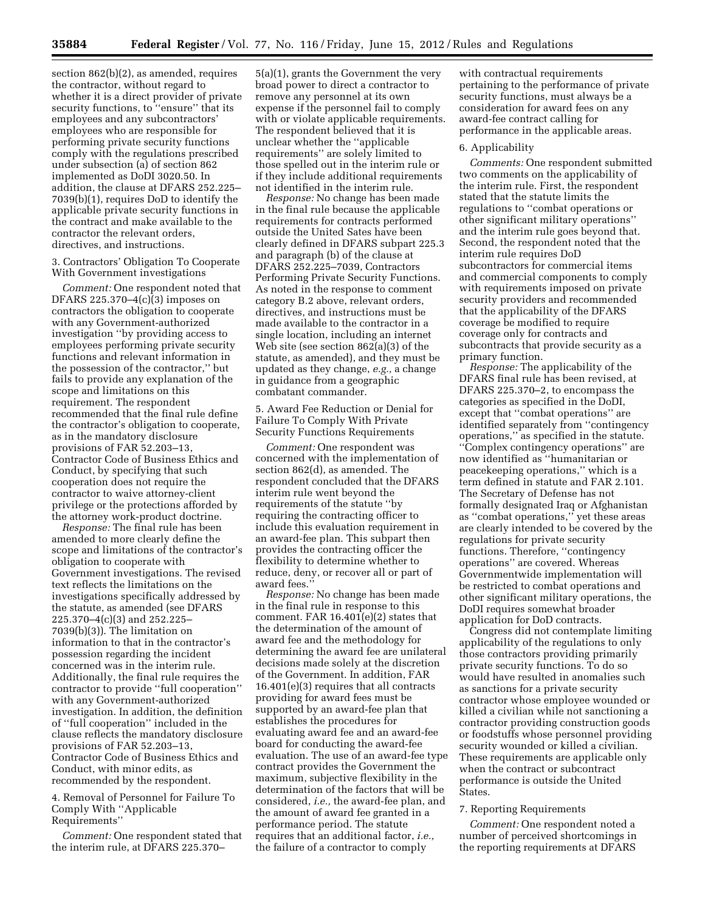section 862(b)(2), as amended, requires the contractor, without regard to whether it is a direct provider of private security functions, to ''ensure'' that its employees and any subcontractors' employees who are responsible for performing private security functions comply with the regulations prescribed under subsection (a) of section 862 implemented as DoDI 3020.50. In addition, the clause at DFARS 252.225– 7039(b)(1), requires DoD to identify the applicable private security functions in the contract and make available to the contractor the relevant orders, directives, and instructions.

3. Contractors' Obligation To Cooperate With Government investigations

*Comment:* One respondent noted that DFARS 225.370–4(c)(3) imposes on contractors the obligation to cooperate with any Government-authorized investigation ''by providing access to employees performing private security functions and relevant information in the possession of the contractor,'' but fails to provide any explanation of the scope and limitations on this requirement. The respondent recommended that the final rule define the contractor's obligation to cooperate, as in the mandatory disclosure provisions of FAR 52.203–13, Contractor Code of Business Ethics and Conduct, by specifying that such cooperation does not require the contractor to waive attorney-client privilege or the protections afforded by the attorney work-product doctrine.

*Response:* The final rule has been amended to more clearly define the scope and limitations of the contractor's obligation to cooperate with Government investigations. The revised text reflects the limitations on the investigations specifically addressed by the statute, as amended (see DFARS 225.370–4(c)(3) and 252.225– 7039(b)(3)). The limitation on information to that in the contractor's possession regarding the incident concerned was in the interim rule. Additionally, the final rule requires the contractor to provide ''full cooperation'' with any Government-authorized investigation. In addition, the definition of ''full cooperation'' included in the clause reflects the mandatory disclosure provisions of FAR 52.203–13, Contractor Code of Business Ethics and Conduct, with minor edits, as recommended by the respondent.

4. Removal of Personnel for Failure To Comply With ''Applicable Requirements''

*Comment:* One respondent stated that the interim rule, at DFARS 225.370–

5(a)(1), grants the Government the very broad power to direct a contractor to remove any personnel at its own expense if the personnel fail to comply with or violate applicable requirements. The respondent believed that it is unclear whether the ''applicable requirements'' are solely limited to those spelled out in the interim rule or if they include additional requirements not identified in the interim rule.

*Response:* No change has been made in the final rule because the applicable requirements for contracts performed outside the United Sates have been clearly defined in DFARS subpart 225.3 and paragraph (b) of the clause at DFARS 252.225–7039, Contractors Performing Private Security Functions. As noted in the response to comment category B.2 above, relevant orders, directives, and instructions must be made available to the contractor in a single location, including an internet Web site (see section 862(a)(3) of the statute, as amended), and they must be updated as they change, *e.g.,* a change in guidance from a geographic combatant commander.

5. Award Fee Reduction or Denial for Failure To Comply With Private Security Functions Requirements

*Comment:* One respondent was concerned with the implementation of section 862(d), as amended. The respondent concluded that the DFARS interim rule went beyond the requirements of the statute ''by requiring the contracting officer to include this evaluation requirement in an award-fee plan. This subpart then provides the contracting officer the flexibility to determine whether to reduce, deny, or recover all or part of award fees.''

*Response:* No change has been made in the final rule in response to this comment. FAR 16.401(e)(2) states that the determination of the amount of award fee and the methodology for determining the award fee are unilateral decisions made solely at the discretion of the Government. In addition, FAR 16.401(e)(3) requires that all contracts providing for award fees must be supported by an award-fee plan that establishes the procedures for evaluating award fee and an award-fee board for conducting the award-fee evaluation. The use of an award-fee type contract provides the Government the maximum, subjective flexibility in the determination of the factors that will be considered, *i.e.,* the award-fee plan, and the amount of award fee granted in a performance period. The statute requires that an additional factor, *i.e.,*  the failure of a contractor to comply

with contractual requirements pertaining to the performance of private security functions, must always be a consideration for award fees on any award-fee contract calling for performance in the applicable areas.

### 6. Applicability

*Comments:* One respondent submitted two comments on the applicability of the interim rule. First, the respondent stated that the statute limits the regulations to ''combat operations or other significant military operations'' and the interim rule goes beyond that. Second, the respondent noted that the interim rule requires DoD subcontractors for commercial items and commercial components to comply with requirements imposed on private security providers and recommended that the applicability of the DFARS coverage be modified to require coverage only for contracts and subcontracts that provide security as a primary function.

*Response:* The applicability of the DFARS final rule has been revised, at DFARS 225.370–2, to encompass the categories as specified in the DoDI, except that ''combat operations'' are identified separately from ''contingency operations,'' as specified in the statute. ''Complex contingency operations'' are now identified as ''humanitarian or peacekeeping operations,'' which is a term defined in statute and FAR 2.101. The Secretary of Defense has not formally designated Iraq or Afghanistan as ''combat operations,'' yet these areas are clearly intended to be covered by the regulations for private security functions. Therefore, ''contingency operations'' are covered. Whereas Governmentwide implementation will be restricted to combat operations and other significant military operations, the DoDI requires somewhat broader application for DoD contracts.

Congress did not contemplate limiting applicability of the regulations to only those contractors providing primarily private security functions. To do so would have resulted in anomalies such as sanctions for a private security contractor whose employee wounded or killed a civilian while not sanctioning a contractor providing construction goods or foodstuffs whose personnel providing security wounded or killed a civilian. These requirements are applicable only when the contract or subcontract performance is outside the United States.

### 7. Reporting Requirements

*Comment:* One respondent noted a number of perceived shortcomings in the reporting requirements at DFARS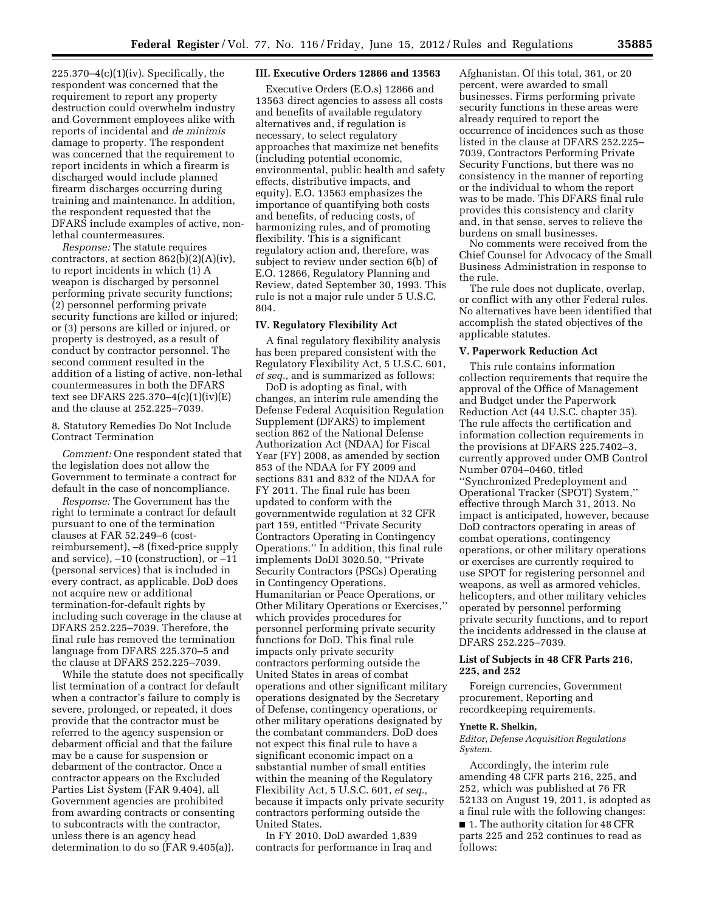$225.370-4(c)(1)(iv)$ . Specifically, the respondent was concerned that the requirement to report any property destruction could overwhelm industry and Government employees alike with reports of incidental and *de minimis*  damage to property. The respondent was concerned that the requirement to report incidents in which a firearm is discharged would include planned firearm discharges occurring during training and maintenance. In addition, the respondent requested that the DFARS include examples of active, nonlethal countermeasures.

*Response:* The statute requires contractors, at section  $862(b)(2)(A)(iv)$ , to report incidents in which (1) A weapon is discharged by personnel performing private security functions; (2) personnel performing private security functions are killed or injured; or (3) persons are killed or injured, or property is destroyed, as a result of conduct by contractor personnel. The second comment resulted in the addition of a listing of active, non-lethal countermeasures in both the DFARS text see DFARS 225.370–4(c)(1)(iv)(E) and the clause at 252.225–7039.

8. Statutory Remedies Do Not Include Contract Termination

*Comment:* One respondent stated that the legislation does not allow the Government to terminate a contract for default in the case of noncompliance.

*Response:* The Government has the right to terminate a contract for default pursuant to one of the termination clauses at FAR 52.249–6 (costreimbursement), –8 (fixed-price supply and service), –10 (construction), or –11 (personal services) that is included in every contract, as applicable. DoD does not acquire new or additional termination-for-default rights by including such coverage in the clause at DFARS 252.225–7039. Therefore, the final rule has removed the termination language from DFARS 225.370–5 and the clause at DFARS 252.225–7039.

While the statute does not specifically list termination of a contract for default when a contractor's failure to comply is severe, prolonged, or repeated, it does provide that the contractor must be referred to the agency suspension or debarment official and that the failure may be a cause for suspension or debarment of the contractor. Once a contractor appears on the Excluded Parties List System (FAR 9.404), all Government agencies are prohibited from awarding contracts or consenting to subcontracts with the contractor, unless there is an agency head determination to do so (FAR 9.405(a)).

# **III. Executive Orders 12866 and 13563**

Executive Orders (E.O.s) 12866 and 13563 direct agencies to assess all costs and benefits of available regulatory alternatives and, if regulation is necessary, to select regulatory approaches that maximize net benefits (including potential economic, environmental, public health and safety effects, distributive impacts, and equity). E.O. 13563 emphasizes the importance of quantifying both costs and benefits, of reducing costs, of harmonizing rules, and of promoting flexibility. This is a significant regulatory action and, therefore, was subject to review under section 6(b) of E.O. 12866, Regulatory Planning and Review, dated September 30, 1993. This rule is not a major rule under 5 U.S.C. 804.

#### **IV. Regulatory Flexibility Act**

A final regulatory flexibility analysis has been prepared consistent with the Regulatory Flexibility Act, 5 U.S.C. 601, *et seq.,* and is summarized as follows:

DoD is adopting as final, with changes, an interim rule amending the Defense Federal Acquisition Regulation Supplement (DFARS) to implement section 862 of the National Defense Authorization Act (NDAA) for Fiscal Year (FY) 2008, as amended by section 853 of the NDAA for FY 2009 and sections 831 and 832 of the NDAA for FY 2011. The final rule has been updated to conform with the governmentwide regulation at 32 CFR part 159, entitled ''Private Security Contractors Operating in Contingency Operations.'' In addition, this final rule implements DoDI 3020.50, ''Private Security Contractors (PSCs) Operating in Contingency Operations, Humanitarian or Peace Operations, or Other Military Operations or Exercises,'' which provides procedures for personnel performing private security functions for DoD. This final rule impacts only private security contractors performing outside the United States in areas of combat operations and other significant military operations designated by the Secretary of Defense, contingency operations, or other military operations designated by the combatant commanders. DoD does not expect this final rule to have a significant economic impact on a substantial number of small entities within the meaning of the Regulatory Flexibility Act, 5 U.S.C. 601, *et seq.,*  because it impacts only private security contractors performing outside the United States.

In FY 2010, DoD awarded 1,839 contracts for performance in Iraq and Afghanistan. Of this total, 361, or 20 percent, were awarded to small businesses. Firms performing private security functions in these areas were already required to report the occurrence of incidences such as those listed in the clause at DFARS 252.225– 7039, Contractors Performing Private Security Functions, but there was no consistency in the manner of reporting or the individual to whom the report was to be made. This DFARS final rule provides this consistency and clarity and, in that sense, serves to relieve the burdens on small businesses.

No comments were received from the Chief Counsel for Advocacy of the Small Business Administration in response to the rule.

The rule does not duplicate, overlap, or conflict with any other Federal rules. No alternatives have been identified that accomplish the stated objectives of the applicable statutes.

#### **V. Paperwork Reduction Act**

This rule contains information collection requirements that require the approval of the Office of Management and Budget under the Paperwork Reduction Act (44 U.S.C. chapter 35). The rule affects the certification and information collection requirements in the provisions at DFARS 225.7402–3, currently approved under OMB Control Number 0704–0460, titled ''Synchronized Predeployment and Operational Tracker (SPOT) System,'' effective through March 31, 2013. No impact is anticipated, however, because DoD contractors operating in areas of combat operations, contingency operations, or other military operations or exercises are currently required to use SPOT for registering personnel and weapons, as well as armored vehicles, helicopters, and other military vehicles operated by personnel performing private security functions, and to report the incidents addressed in the clause at DFARS 252.225–7039.

# **List of Subjects in 48 CFR Parts 216, 225, and 252**

Foreign currencies, Government procurement, Reporting and recordkeeping requirements.

### **Ynette R. Shelkin,**

*Editor, Defense Acquisition Regulations System.* 

Accordingly, the interim rule amending 48 CFR parts 216, 225, and 252, which was published at 76 FR 52133 on August 19, 2011, is adopted as a final rule with the following changes:

■ 1. The authority citation for 48 CFR parts 225 and 252 continues to read as follows: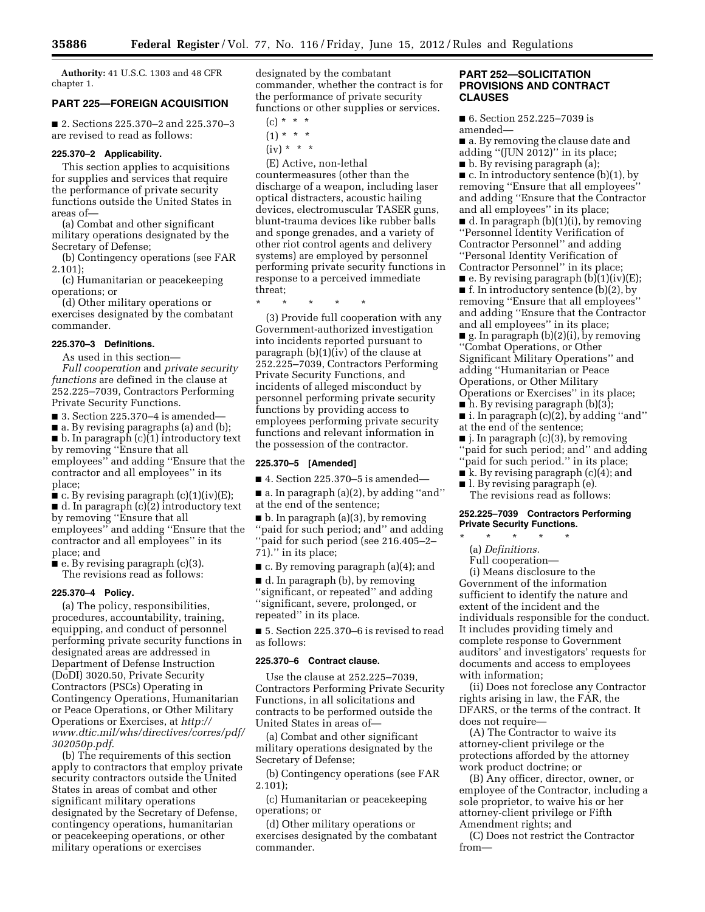**Authority:** 41 U.S.C. 1303 and 48 CFR chapter 1.

# **PART 225—FOREIGN ACQUISITION**

■ 2. Sections 225.370–2 and 225.370–3 are revised to read as follows:

### **225.370–2 Applicability.**

This section applies to acquisitions for supplies and services that require the performance of private security functions outside the United States in areas of—

(a) Combat and other significant military operations designated by the Secretary of Defense;

(b) Contingency operations (see FAR 2.101);

(c) Humanitarian or peacekeeping operations; or

(d) Other military operations or exercises designated by the combatant commander.

# **225.370–3 Definitions.**

As used in this section—

*Full cooperation* and *private security functions* are defined in the clause at 252.225–7039, Contractors Performing Private Security Functions.

 $\blacksquare$  3. Section 225.370-4 is amended—

■ a. By revising paragraphs (a) and (b); ■ b. In paragraph (c)(1) introductory text by removing ''Ensure that all employees'' and adding ''Ensure that the contractor and all employees'' in its place;

 $\bullet$  c. By revising paragraph (c)(1)(iv)(E);

■ d. In paragraph (c)(2) introductory text by removing ''Ensure that all employees'' and adding ''Ensure that the contractor and all employees'' in its place; and

 $\blacksquare$  e. By revising paragraph (c)(3). The revisions read as follows:

### **225.370–4 Policy.**

(a) The policy, responsibilities, procedures, accountability, training, equipping, and conduct of personnel performing private security functions in designated areas are addressed in Department of Defense Instruction (DoDI) 3020.50, Private Security Contractors (PSCs) Operating in Contingency Operations, Humanitarian or Peace Operations, or Other Military Operations or Exercises, at *[http://](http://www.dtic.mil/whs/directives/corres/pdf/302050p.pdf)  [www.dtic.mil/whs/directives/corres/pdf/](http://www.dtic.mil/whs/directives/corres/pdf/302050p.pdf)  [302050p.pdf](http://www.dtic.mil/whs/directives/corres/pdf/302050p.pdf)*.

(b) The requirements of this section apply to contractors that employ private security contractors outside the United States in areas of combat and other significant military operations designated by the Secretary of Defense, contingency operations, humanitarian or peacekeeping operations, or other military operations or exercises

designated by the combatant commander, whether the contract is for the performance of private security functions or other supplies or services.

- $(c) * * * *$
- $(1) * * * *$
- $(iv) * * * *$

(E) Active, non-lethal countermeasures (other than the discharge of a weapon, including laser optical distracters, acoustic hailing devices, electromuscular TASER guns, blunt-trauma devices like rubber balls and sponge grenades, and a variety of other riot control agents and delivery systems) are employed by personnel performing private security functions in response to a perceived immediate threat;

\* \* \* \* \*

(3) Provide full cooperation with any Government-authorized investigation into incidents reported pursuant to paragraph (b)(1)(iv) of the clause at 252.225–7039, Contractors Performing Private Security Functions, and incidents of alleged misconduct by personnel performing private security functions by providing access to employees performing private security functions and relevant information in the possession of the contractor.

#### **225.370–5 [Amended]**

■ 4. Section 225.370–5 is amended—

■ a. In paragraph (a)(2), by adding ''and'' at the end of the sentence;

■ b. In paragraph (a)(3), by removing ''paid for such period; and'' and adding ''paid for such period (see 216.405–2– 71).'' in its place;

■ c. By removing paragraph (a)(4); and

■ d. In paragraph (b), by removing ''significant, or repeated'' and adding ''significant, severe, prolonged, or repeated'' in its place.

■ 5. Section 225.370–6 is revised to read as follows:

### **225.370–6 Contract clause.**

Use the clause at 252.225–7039, Contractors Performing Private Security Functions, in all solicitations and contracts to be performed outside the United States in areas of—

(a) Combat and other significant military operations designated by the Secretary of Defense;

(b) Contingency operations (see FAR 2.101);

(c) Humanitarian or peacekeeping operations; or

(d) Other military operations or exercises designated by the combatant commander.

# **PART 252—SOLICITATION PROVISIONS AND CONTRACT CLAUSES**

■ 6. Section 252.225-7039 is amended—

■ a. By removing the clause date and adding ''(JUN 2012)'' in its place;

■ b. By revising paragraph (a);

 $\blacksquare$  c. In introductory sentence (b)(1), by removing ''Ensure that all employees'' and adding ''Ensure that the Contractor and all employees'' in its place;

■ d. In paragraph (b)(1)(i), by removing ''Personnel Identity Verification of Contractor Personnel'' and adding ''Personal Identity Verification of Contractor Personnel'' in its place;

 $\blacksquare$  e. By revising paragraph (b)(1)(iv)(E);  $\blacksquare$  f. In introductory sentence (b)(2), by removing ''Ensure that all employees'' and adding ''Ensure that the Contractor and all employees'' in its place;

■ g. In paragraph (b)(2)(i), by removing ''Combat Operations, or Other Significant Military Operations'' and adding ''Humanitarian or Peace Operations, or Other Military Operations or Exercises'' in its place;

 $\blacksquare$  h. By revising paragraph (b)(3);

 $\blacksquare$  i. In paragraph  $(c)(2)$ , by adding "and" at the end of the sentence;

■ j. In paragraph (c)(3), by removing ''paid for such period; and'' and adding ''paid for such period.'' in its place;

- k. By revising paragraph (c)(4); and
- l. By revising paragraph (e).
- The revisions read as follows:

## **252.225–7039 Contractors Performing Private Security Functions.**

\* \* \* \* \*

- (a) *Definitions.*
- Full cooperation—

(i) Means disclosure to the Government of the information sufficient to identify the nature and extent of the incident and the individuals responsible for the conduct. It includes providing timely and complete response to Government auditors' and investigators' requests for documents and access to employees with information;

(ii) Does not foreclose any Contractor rights arising in law, the FAR, the DFARS, or the terms of the contract. It does not require—

(A) The Contractor to waive its attorney-client privilege or the protections afforded by the attorney work product doctrine; or

(B) Any officer, director, owner, or employee of the Contractor, including a sole proprietor, to waive his or her attorney-client privilege or Fifth Amendment rights; and

(C) Does not restrict the Contractor from—